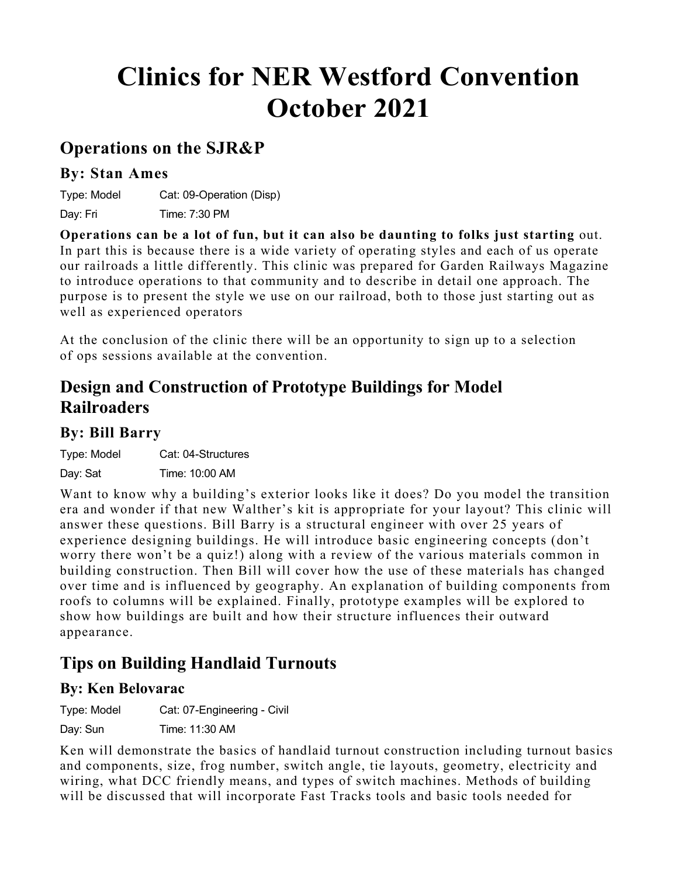# **Clinics for NER Westford Convention October 2021**

### **Operations on the SJR&P**

#### **By: Stan Ames**

Type: Model Cat: 09-Operation (Disp)

Day: Fri Time: 7:30 PM

**Operations can be a lot of fun, but it can also be daunting to folks just starting** out. In part this is because there is a wide variety of operating styles and each of us operate our railroads a little differently. This clinic was prepared for Garden Railways Magazine to introduce operations to that community and to describe in detail one approach. The purpose is to present the style we use on our railroad, both to those just starting out as well as experienced operators

At the conclusion of the clinic there will be an opportunity to sign up to a selection of ops sessions available at the convention.

### **Design and Construction of Prototype Buildings for Model Railroaders**

#### **By: Bill Barry**

Type: Model Cat: 04-Structures

Day: Sat Time: 10:00 AM

Want to know why a building's exterior looks like it does? Do you model the transition era and wonder if that new Walther's kit is appropriate for your layout? This clinic will answer these questions. Bill Barry is a structural engineer with over 25 years of experience designing buildings. He will introduce basic engineering concepts (don't worry there won't be a quiz!) along with a review of the various materials common in building construction. Then Bill will cover how the use of these materials has changed over time and is influenced by geography. An explanation of building components from roofs to columns will be explained. Finally, prototype examples will be explored to show how buildings are built and how their structure influences their outward appearance.

### **Tips on Building Handlaid Turnouts**

### **By: Ken Belovarac**

Type: Model Cat: 07-Engineering - Civil Day: Sun Time: 11:30 AM

Ken will demonstrate the basics of handlaid turnout construction including turnout basics and components, size, frog number, switch angle, tie layouts, geometry, electricity and wiring, what DCC friendly means, and types of switch machines. Methods of building will be discussed that will incorporate Fast Tracks tools and basic tools needed for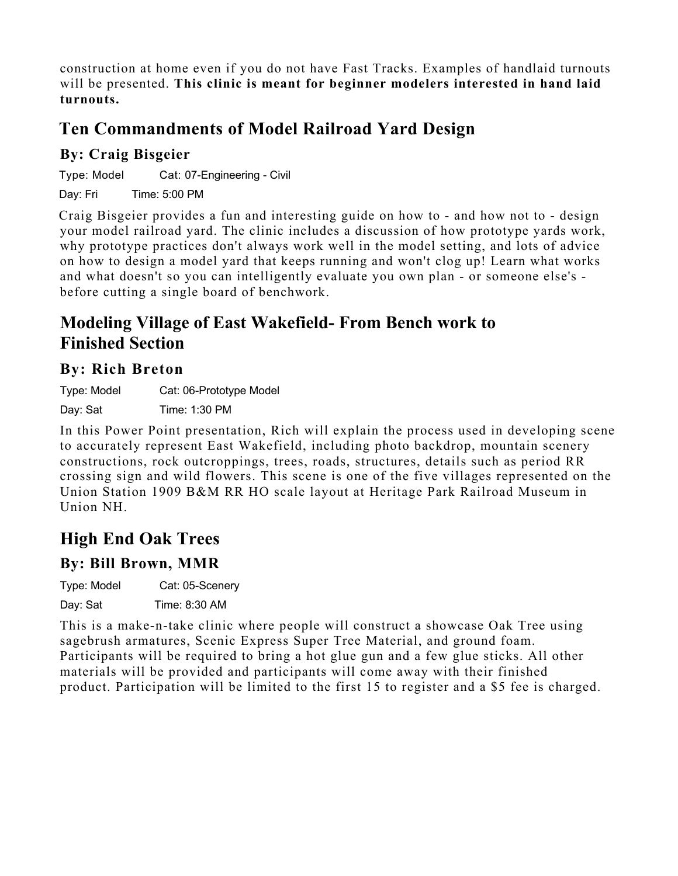construction at home even if you do not have Fast Tracks. Examples of handlaid turnouts will be presented. **This clinic is meant for beginner modelers interested in hand laid turnouts.**

# **Ten Commandments of Model Railroad Yard Design**

### **By: Craig Bisgeier**

Type: Model Cat: 07-Engineering - Civil

Day: Fri Time: 5:00 PM

Craig Bisgeier provides a fun and interesting guide on how to - and how not to - design your model railroad yard. The clinic includes a discussion of how prototype yards work, why prototype practices don't always work well in the model setting, and lots of advice on how to design a model yard that keeps running and won't clog up! Learn what works and what doesn't so you can intelligently evaluate you own plan - or someone else's before cutting a single board of benchwork.

### **Modeling Village of East Wakefield- From Bench work to Finished Section**

### **By: Rich Breton**

Type: Model Cat: 06-Prototype Model Day: Sat Time: 1:30 PM

In this Power Point presentation, Rich will explain the process used in developing scene to accurately represent East Wakefield, including photo backdrop, mountain scenery constructions, rock outcroppings, trees, roads, structures, details such as period RR crossing sign and wild flowers. This scene is one of the five villages represented on the Union Station 1909 B&M RR HO scale layout at Heritage Park Railroad Museum in Union NH.

# **High End Oak Trees**

### **By: Bill Brown, MMR**

Type: Model Cat: 05-Scenery

Day: Sat Time: 8:30 AM

This is a make-n-take clinic where people will construct a showcase Oak Tree using sagebrush armatures, Scenic Express Super Tree Material, and ground foam. Participants will be required to bring a hot glue gun and a few glue sticks. All other materials will be provided and participants will come away with their finished product. Participation will be limited to the first 15 to register and a \$5 fee is charged.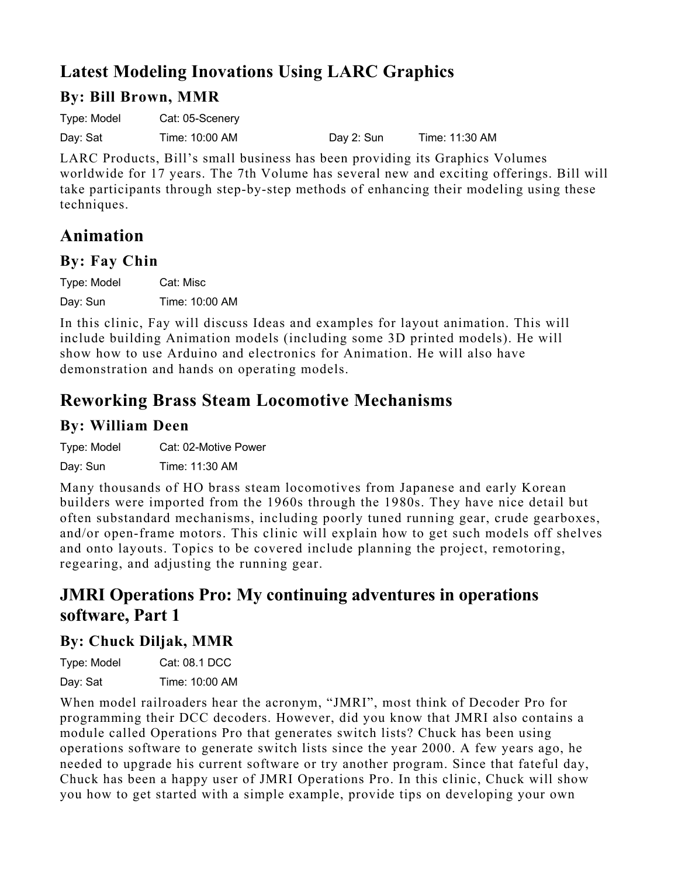# **Latest Modeling Inovations Using LARC Graphics**

### **By: Bill Brown, MMR**

Type: Model Cat: 05-Scenery

Day: Sat Time: 10:00 AM Day 2: Sun Time: 11:30 AM

LARC Products, Bill's small business has been providing its Graphics Volumes worldwide for 17 years. The 7th Volume has several new and exciting offerings. Bill will take participants through step-by-step methods of enhancing their modeling using these techniques.

### **Animation**

### **By: Fay Chin**

Type: Model Cat: Misc

Day: Sun Time: 10:00 AM

In this clinic, Fay will discuss Ideas and examples for layout animation. This will include building Animation models (including some 3D printed models). He will show how to use Arduino and electronics for Animation. He will also have demonstration and hands on operating models.

# **Reworking Brass Steam Locomotive Mechanisms**

### **By: William Deen**

Type: Model Cat: 02-Motive Power

Day: Sun Time: 11:30 AM

Many thousands of HO brass steam locomotives from Japanese and early Korean builders were imported from the 1960s through the 1980s. They have nice detail but often substandard mechanisms, including poorly tuned running gear, crude gearboxes, and/or open-frame motors. This clinic will explain how to get such models off shelves and onto layouts. Topics to be covered include planning the project, remotoring, regearing, and adjusting the running gear.

### **JMRI Operations Pro: My continuing adventures in operations software, Part 1**

### **By: Chuck Diljak, MMR**

Type: Model Cat: 08.1 DCC Day: Sat Time: 10:00 AM

When model railroaders hear the acronym, "JMRI", most think of Decoder Pro for programming their DCC decoders. However, did you know that JMRI also contains a module called Operations Pro that generates switch lists? Chuck has been using operations software to generate switch lists since the year 2000. A few years ago, he needed to upgrade his current software or try another program. Since that fateful day, Chuck has been a happy user of JMRI Operations Pro. In this clinic, Chuck will show you how to get started with a simple example, provide tips on developing your own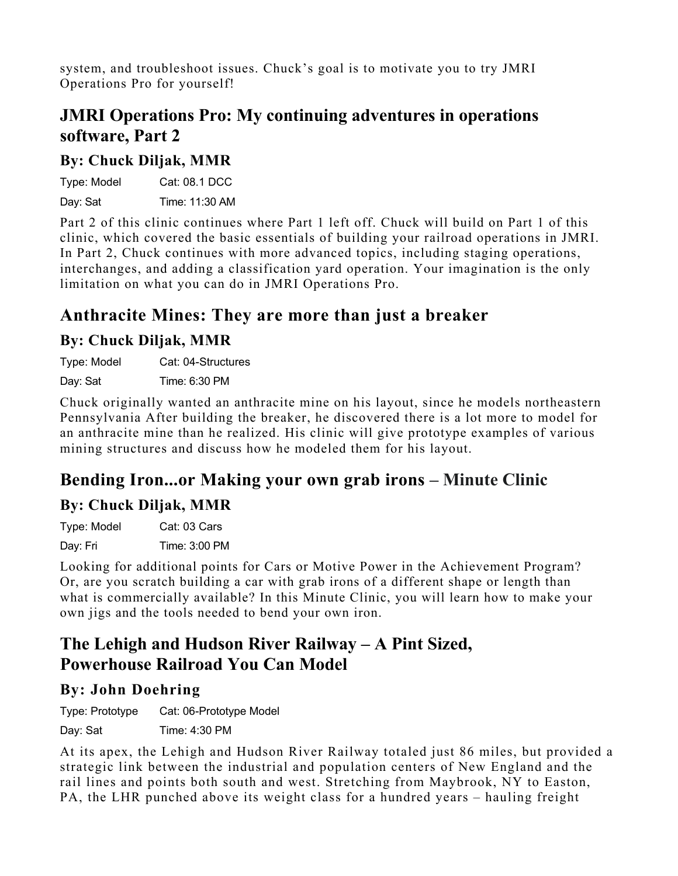system, and troubleshoot issues. Chuck's goal is to motivate you to try JMRI Operations Pro for yourself!

### **JMRI Operations Pro: My continuing adventures in operations software, Part 2**

#### **By: Chuck Diljak, MMR**

| Type: Model | Cat: 08.1 DCC  |
|-------------|----------------|
| Day: Sat    | Time: 11:30 AM |

Part 2 of this clinic continues where Part 1 left off. Chuck will build on Part 1 of this clinic, which covered the basic essentials of building your railroad operations in JMRI. In Part 2, Chuck continues with more advanced topics, including staging operations, interchanges, and adding a classification yard operation. Your imagination is the only limitation on what you can do in JMRI Operations Pro.

### **Anthracite Mines: They are more than just a breaker**

### **By: Chuck Diljak, MMR**

Type: Model Cat: 04-Structures

Day: Sat Time: 6:30 PM

Chuck originally wanted an anthracite mine on his layout, since he models northeastern Pennsylvania After building the breaker, he discovered there is a lot more to model for an anthracite mine than he realized. His clinic will give prototype examples of various mining structures and discuss how he modeled them for his layout.

### **Bending Iron...or Making your own grab irons – Minute Clinic**

### **By: Chuck Diljak, MMR**

| Type: Model | Cat: 03 Cars  |
|-------------|---------------|
| Day: Fri    | Time: 3:00 PM |

Looking for additional points for Cars or Motive Power in the Achievement Program? Or, are you scratch building a car with grab irons of a different shape or length than what is commercially available? In this Minute Clinic, you will learn how to make your own jigs and the tools needed to bend your own iron.

### **The Lehigh and Hudson River Railway – A Pint Sized, Powerhouse Railroad You Can Model**

### **By: John Doehring**

Type: Prototype Cat: 06-Prototype Model

Day: Sat Time: 4:30 PM

At its apex, the Lehigh and Hudson River Railway totaled just 86 miles, but provided a strategic link between the industrial and population centers of New England and the rail lines and points both south and west. Stretching from Maybrook, NY to Easton, PA, the LHR punched above its weight class for a hundred years – hauling freight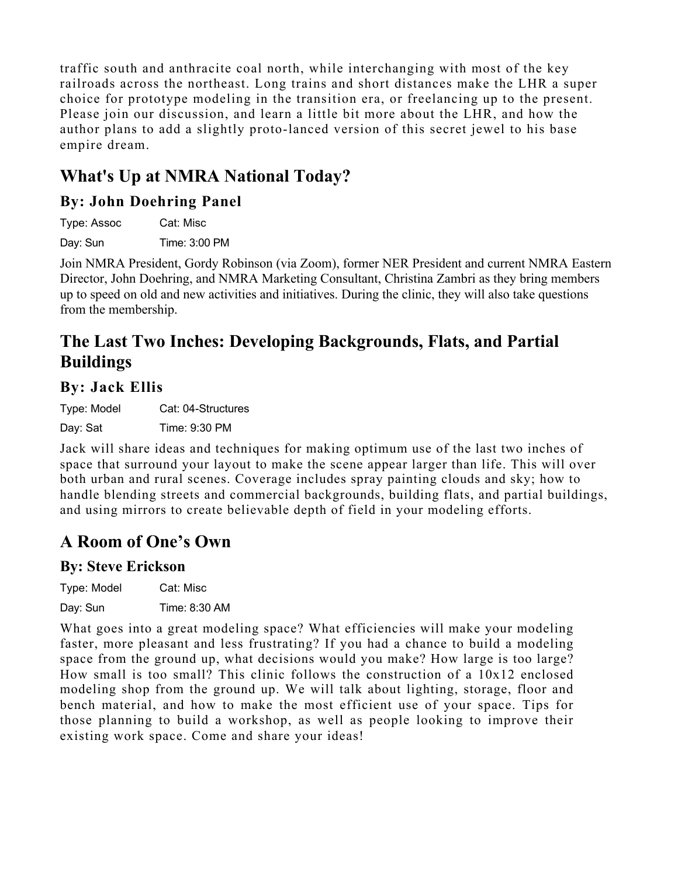traffic south and anthracite coal north, while interchanging with most of the key railroads across the northeast. Long trains and short distances make the LHR a super choice for prototype modeling in the transition era, or freelancing up to the present. Please join our discussion, and learn a little bit more about the LHR, and how the author plans to add a slightly proto-lanced version of this secret jewel to his base empire dream.

# **What's Up at NMRA National Today?**

### **By: John Doehring Panel**

Type: Assoc Cat: Misc Day: Sun Time: 3:00 PM

Join NMRA President, Gordy Robinson (via Zoom), former NER President and current NMRA Eastern Director, John Doehring, and NMRA Marketing Consultant, Christina Zambri as they bring members up to speed on old and new activities and initiatives. During the clinic, they will also take questions from the membership.

# **The Last Two Inches: Developing Backgrounds, Flats, and Partial Buildings**

### **By: Jack Ellis**

Type: Model Cat: 04-Structures Day: Sat Time: 9:30 PM

Jack will share ideas and techniques for making optimum use of the last two inches of space that surround your layout to make the scene appear larger than life. This will over both urban and rural scenes. Coverage includes spray painting clouds and sky; how to handle blending streets and commercial backgrounds, building flats, and partial buildings, and using mirrors to create believable depth of field in your modeling efforts.

# **A Room of One's Own**

### **By: Steve Erickson**

| Type: Model | Cat: Misc     |
|-------------|---------------|
| Day: Sun    | Time: 8:30 AM |

What goes into a great modeling space? What efficiencies will make your modeling faster, more pleasant and less frustrating? If you had a chance to build a modeling space from the ground up, what decisions would you make? How large is too large? How small is too small? This clinic follows the construction of a 10x12 enclosed modeling shop from the ground up. We will talk about lighting, storage, floor and bench material, and how to make the most efficient use of your space. Tips for those planning to build a workshop, as well as people looking to improve their existing work space. Come and share your ideas!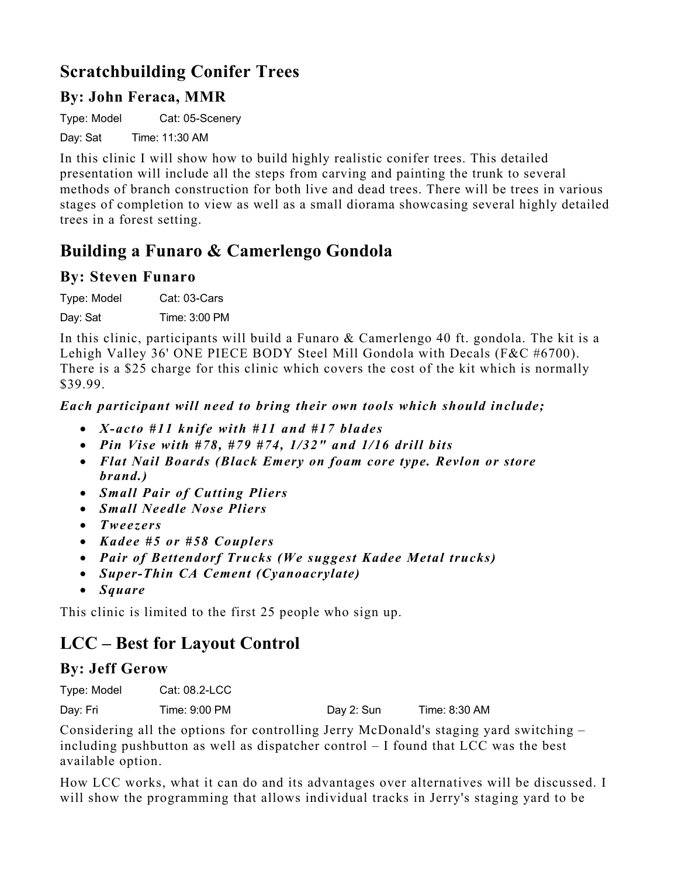### **Scratchbuilding Conifer Trees**

### **By: John Feraca, MMR**

Type: Model Cat: 05-Scenery

Day: Sat Time: 11:30 AM

In this clinic I will show how to build highly realistic conifer trees. This detailed presentation will include all the steps from carving and painting the trunk to several methods of branch construction for both live and dead trees. There will be trees in various stages of completion to view as well as a small diorama showcasing several highly detailed trees in a forest setting.

### **Building a Funaro & Camerlengo Gondola**

#### **By: Steven Funaro**

Type: Model Cat: 03-Cars

Day: Sat Time: 3:00 PM

In this clinic, participants will build a Funaro & Camerlengo 40 ft. gondola. The kit is a Lehigh Valley 36' ONE PIECE BODY Steel Mill Gondola with Decals (F&C #6700). There is a \$25 charge for this clinic which covers the cost of the kit which is normally \$39.99.

#### *Each participant will need to bring their own tools which should include;*

- *X-acto #11 knife with #11 and #17 blades*
- *Pin Vise with #78, #79 #74, 1/32" and 1/16 drill bits*
- *Flat Nail Boards (Black Emery on foam core type. Revlon or store brand.)*
- *Small Pair of Cutting Pliers*
- *Small Needle Nose Pliers*
- *Tweezers*
- *Kadee #5 or #58 Couplers*
- *Pair of Bettendorf Trucks (We suggest Kadee Metal trucks)*
- *Super-Thin CA Cement (Cyanoacrylate)*
- *Square*

This clinic is limited to the first 25 people who sign up.

### **LCC – Best for Layout Control**

#### **By: Jeff Gerow**

| Type: Model | Cat: 08.2-LCC |            |               |
|-------------|---------------|------------|---------------|
| Day: Fri    | Time: 9:00 PM | Day 2: Sun | Time: 8:30 AM |

Considering all the options for controlling Jerry McDonald's staging yard switching – including pushbutton as well as dispatcher control – I found that LCC was the best available option.

How LCC works, what it can do and its advantages over alternatives will be discussed. I will show the programming that allows individual tracks in Jerry's staging yard to be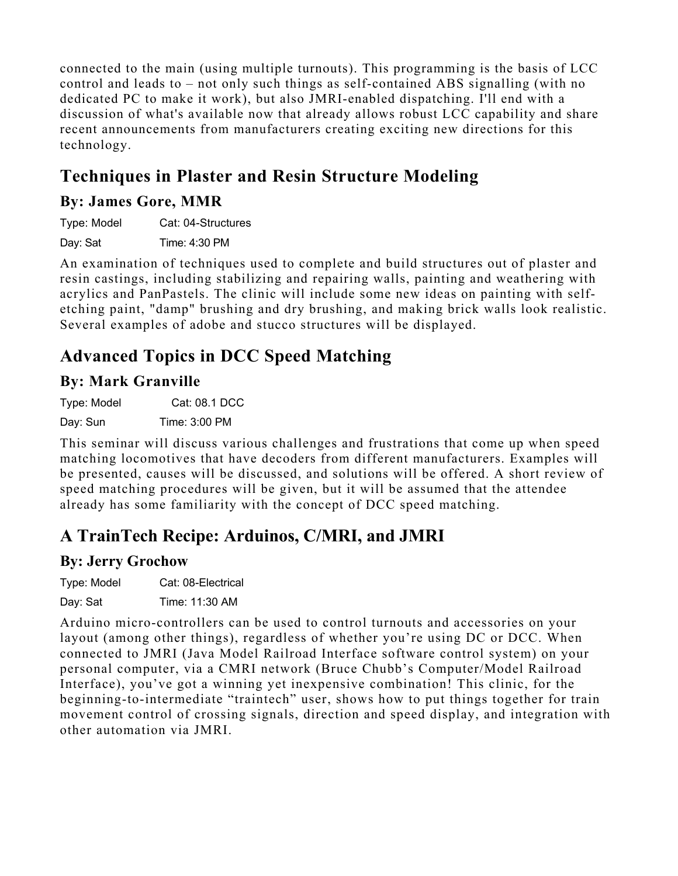connected to the main (using multiple turnouts). This programming is the basis of LCC control and leads to – not only such things as self-contained ABS signalling (with no dedicated PC to make it work), but also JMRI-enabled dispatching. I'll end with a discussion of what's available now that already allows robust LCC capability and share recent announcements from manufacturers creating exciting new directions for this technology.

# **Techniques in Plaster and Resin Structure Modeling**

### **By: James Gore, MMR**

Type: Model Cat: 04-Structures Day: Sat Time: 4:30 PM

An examination of techniques used to complete and build structures out of plaster and resin castings, including stabilizing and repairing walls, painting and weathering with acrylics and PanPastels. The clinic will include some new ideas on painting with selfetching paint, "damp" brushing and dry brushing, and making brick walls look realistic. Several examples of adobe and stucco structures will be displayed.

# **Advanced Topics in DCC Speed Matching**

### **By: Mark Granville**

Type: Model Cat: 08.1 DCC

Day: Sun Time: 3:00 PM

This seminar will discuss various challenges and frustrations that come up when speed matching locomotives that have decoders from different manufacturers. Examples will be presented, causes will be discussed, and solutions will be offered. A short review of speed matching procedures will be given, but it will be assumed that the attendee already has some familiarity with the concept of DCC speed matching.

# **A TrainTech Recipe: Arduinos, C/MRI, and JMRI**

### **By: Jerry Grochow**

| Type: Model | Cat: 08-Electrical |
|-------------|--------------------|
| Day: Sat    | Time: 11:30 AM     |

Arduino micro-controllers can be used to control turnouts and accessories on your layout (among other things), regardless of whether you're using DC or DCC. When connected to JMRI (Java Model Railroad Interface software control system) on your personal computer, via a CMRI network (Bruce Chubb's Computer/Model Railroad Interface), you've got a winning yet inexpensive combination! This clinic, for the beginning-to-intermediate "traintech" user, shows how to put things together for train movement control of crossing signals, direction and speed display, and integration with other automation via JMRI.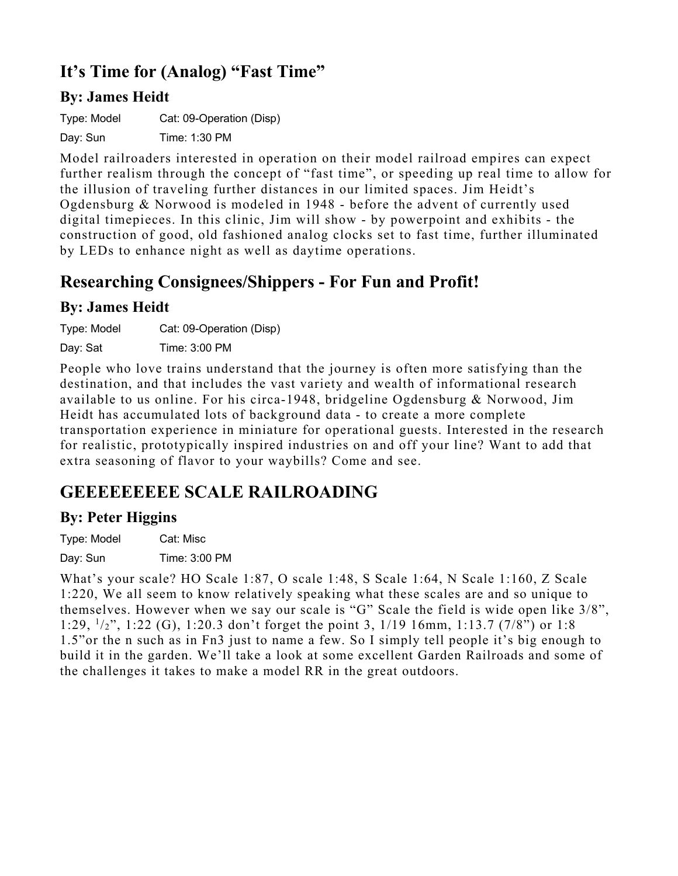# **It's Time for (Analog) "Fast Time"**

### **By: James Heidt**

Type: Model Cat: 09-Operation (Disp)

Day: Sun Time: 1:30 PM

Model railroaders interested in operation on their model railroad empires can expect further realism through the concept of "fast time", or speeding up real time to allow for the illusion of traveling further distances in our limited spaces. Jim Heidt's Ogdensburg & Norwood is modeled in 1948 - before the advent of currently used digital timepieces. In this clinic, Jim will show - by powerpoint and exhibits - the construction of good, old fashioned analog clocks set to fast time, further illuminated by LEDs to enhance night as well as daytime operations.

### **Researching Consignees/Shippers - For Fun and Profit!**

### **By: James Heidt**

Type: Model Cat: 09-Operation (Disp) Day: Sat Time: 3:00 PM

People who love trains understand that the journey is often more satisfying than the destination, and that includes the vast variety and wealth of informational research available to us online. For his circa-1948, bridgeline Ogdensburg & Norwood, Jim Heidt has accumulated lots of background data - to create a more complete transportation experience in miniature for operational guests. Interested in the research for realistic, prototypically inspired industries on and off your line? Want to add that extra seasoning of flavor to your waybills? Come and see.

# **GEEEEEEEEE SCALE RAILROADING**

### **By: Peter Higgins**

Type: Model Cat: Misc

Day: Sun Time: 3:00 PM

What's your scale? HO Scale 1:87, O scale 1:48, S Scale 1:64, N Scale 1:160, Z Scale 1:220, We all seem to know relatively speaking what these scales are and so unique to themselves. However when we say our scale is "G" Scale the field is wide open like 3/8", 1:29, 1/2", 1:22 (G), 1:20.3 don't forget the point 3, 1/19 16mm, 1:13.7 (7/8") or 1:8 1.5"or the n such as in Fn3 just to name a few. So I simply tell people it's big enough to build it in the garden. We'll take a look at some excellent Garden Railroads and some of the challenges it takes to make a model RR in the great outdoors.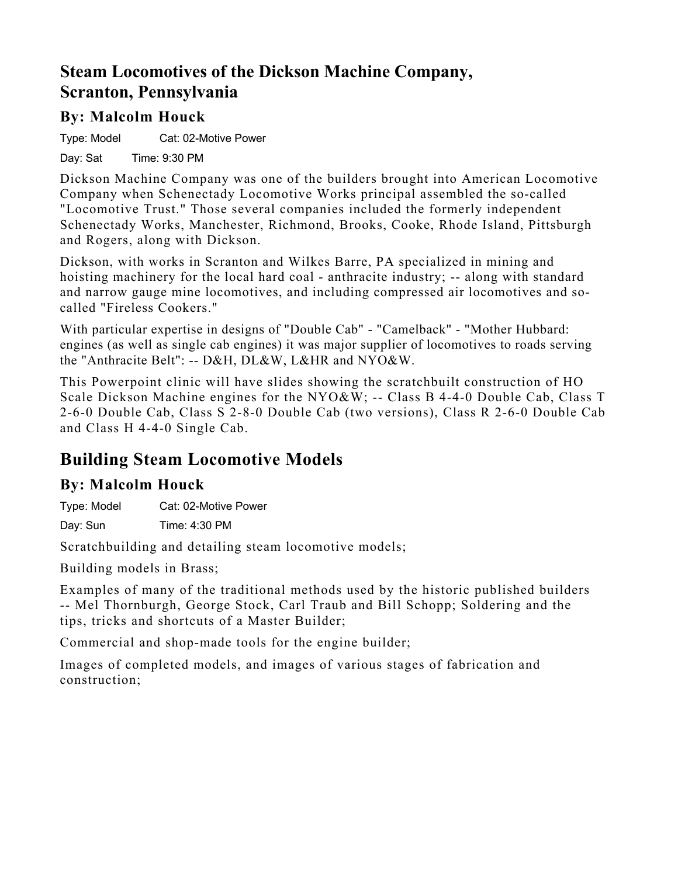### **Steam Locomotives of the Dickson Machine Company, Scranton, Pennsylvania**

### **By: Malcolm Houck**

Type: Model Cat: 02-Motive Power

Day: Sat Time: 9:30 PM

Dickson Machine Company was one of the builders brought into American Locomotive Company when Schenectady Locomotive Works principal assembled the so-called "Locomotive Trust." Those several companies included the formerly independent Schenectady Works, Manchester, Richmond, Brooks, Cooke, Rhode Island, Pittsburgh and Rogers, along with Dickson.

Dickson, with works in Scranton and Wilkes Barre, PA specialized in mining and hoisting machinery for the local hard coal - anthracite industry; -- along with standard and narrow gauge mine locomotives, and including compressed air locomotives and socalled "Fireless Cookers."

With particular expertise in designs of "Double Cab" - "Camelback" - "Mother Hubbard: engines (as well as single cab engines) it was major supplier of locomotives to roads serving the "Anthracite Belt": -- D&H, DL&W, L&HR and NYO&W.

This Powerpoint clinic will have slides showing the scratchbuilt construction of HO Scale Dickson Machine engines for the NYO&W; -- Class B 4-4-0 Double Cab, Class T 2-6-0 Double Cab, Class S 2-8-0 Double Cab (two versions), Class R 2-6-0 Double Cab and Class H 4-4-0 Single Cab.

# **Building Steam Locomotive Models**

### **By: Malcolm Houck**

Type: Model Cat: 02-Motive Power

Day: Sun Time: 4:30 PM

Scratchbuilding and detailing steam locomotive models;

Building models in Brass;

Examples of many of the traditional methods used by the historic published builders -- Mel Thornburgh, George Stock, Carl Traub and Bill Schopp; Soldering and the tips, tricks and shortcuts of a Master Builder;

Commercial and shop-made tools for the engine builder;

Images of completed models, and images of various stages of fabrication and construction;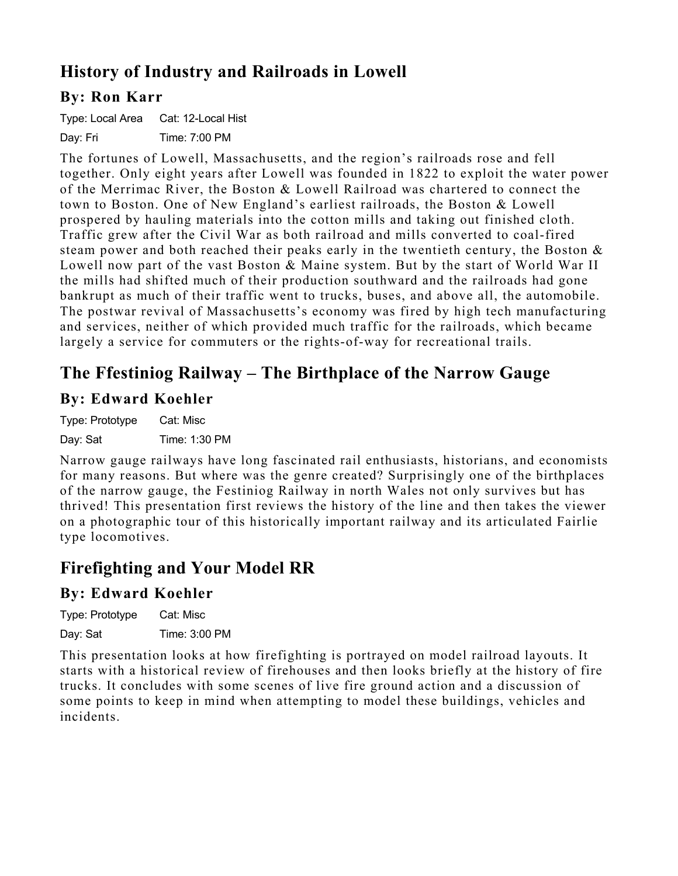# **History of Industry and Railroads in Lowell**

### **By: Ron Karr**

Type: Local Area Cat: 12-Local Hist Day: Fri Time: 7:00 PM

The fortunes of Lowell, Massachusetts, and the region's railroads rose and fell together. Only eight years after Lowell was founded in 1822 to exploit the water power of the Merrimac River, the Boston & Lowell Railroad was chartered to connect the town to Boston. One of New England's earliest railroads, the Boston & Lowell prospered by hauling materials into the cotton mills and taking out finished cloth. Traffic grew after the Civil War as both railroad and mills converted to coal-fired steam power and both reached their peaks early in the twentieth century, the Boston & Lowell now part of the vast Boston & Maine system. But by the start of World War II the mills had shifted much of their production southward and the railroads had gone bankrupt as much of their traffic went to trucks, buses, and above all, the automobile. The postwar revival of Massachusetts's economy was fired by high tech manufacturing and services, neither of which provided much traffic for the railroads, which became largely a service for commuters or the rights-of-way for recreational trails.

### **The Ffestiniog Railway – The Birthplace of the Narrow Gauge**

### **By: Edward Koehler**

Type: Prototype Cat: Misc Day: Sat Time: 1:30 PM

Narrow gauge railways have long fascinated rail enthusiasts, historians, and economists for many reasons. But where was the genre created? Surprisingly one of the birthplaces of the narrow gauge, the Festiniog Railway in north Wales not only survives but has thrived! This presentation first reviews the history of the line and then takes the viewer on a photographic tour of this historically important railway and its articulated Fairlie type locomotives.

# **Firefighting and Your Model RR**

### **By: Edward Koehler**

Type: Prototype Cat: Misc Day: Sat Time: 3:00 PM

This presentation looks at how firefighting is portrayed on model railroad layouts. It starts with a historical review of firehouses and then looks briefly at the history of fire trucks. It concludes with some scenes of live fire ground action and a discussion of some points to keep in mind when attempting to model these buildings, vehicles and incidents.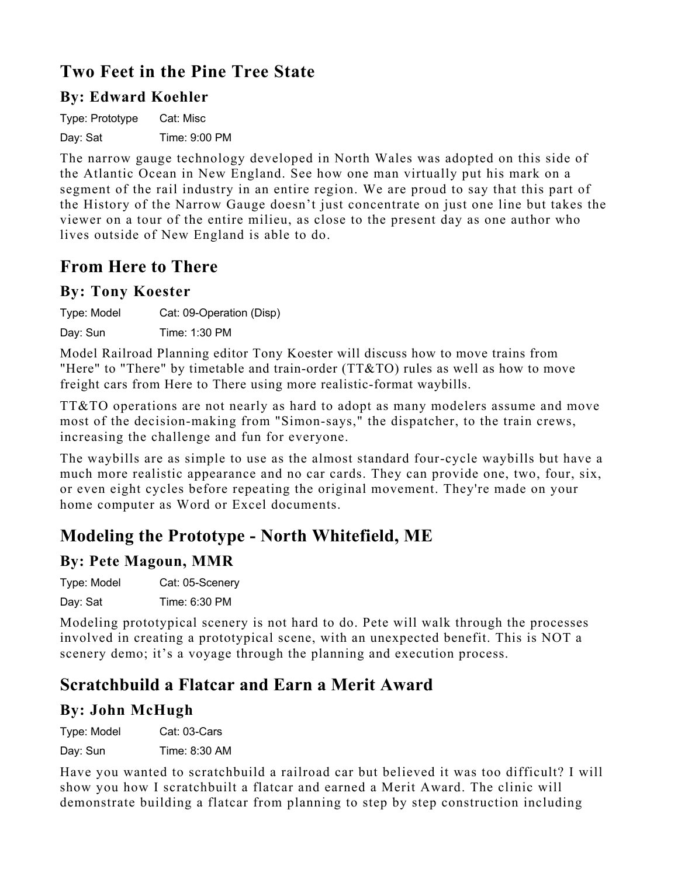### **Two Feet in the Pine Tree State**

### **By: Edward Koehler**

Type: Prototype Cat: Misc Day: Sat Time: 9:00 PM

The narrow gauge technology developed in North Wales was adopted on this side of the Atlantic Ocean in New England. See how one man virtually put his mark on a segment of the rail industry in an entire region. We are proud to say that this part of the History of the Narrow Gauge doesn't just concentrate on just one line but takes the viewer on a tour of the entire milieu, as close to the present day as one author who lives outside of New England is able to do.

### **From Here to There**

#### **By: Tony Koester**

Type: Model Cat: 09-Operation (Disp)

Day: Sun Time: 1:30 PM

Model Railroad Planning editor Tony Koester will discuss how to move trains from "Here" to "There" by timetable and train-order (TT&TO) rules as well as how to move freight cars from Here to There using more realistic-format waybills.

TT&TO operations are not nearly as hard to adopt as many modelers assume and move most of the decision-making from "Simon-says," the dispatcher, to the train crews, increasing the challenge and fun for everyone.

The waybills are as simple to use as the almost standard four-cycle waybills but have a much more realistic appearance and no car cards. They can provide one, two, four, six, or even eight cycles before repeating the original movement. They're made on your home computer as Word or Excel documents.

# **Modeling the Prototype - North Whitefield, ME**

### **By: Pete Magoun, MMR**

| Type: Model | Cat: 05-Scenery |
|-------------|-----------------|
| Day: Sat    | Time: 6:30 PM   |

Modeling prototypical scenery is not hard to do. Pete will walk through the processes involved in creating a prototypical scene, with an unexpected benefit. This is NOT a scenery demo; it's a voyage through the planning and execution process.

# **Scratchbuild a Flatcar and Earn a Merit Award**

### **By: John McHugh**

Type: Model Cat: 03-Cars

Day: Sun Time: 8:30 AM

Have you wanted to scratchbuild a railroad car but believed it was too difficult? I will show you how I scratchbuilt a flatcar and earned a Merit Award. The clinic will demonstrate building a flatcar from planning to step by step construction including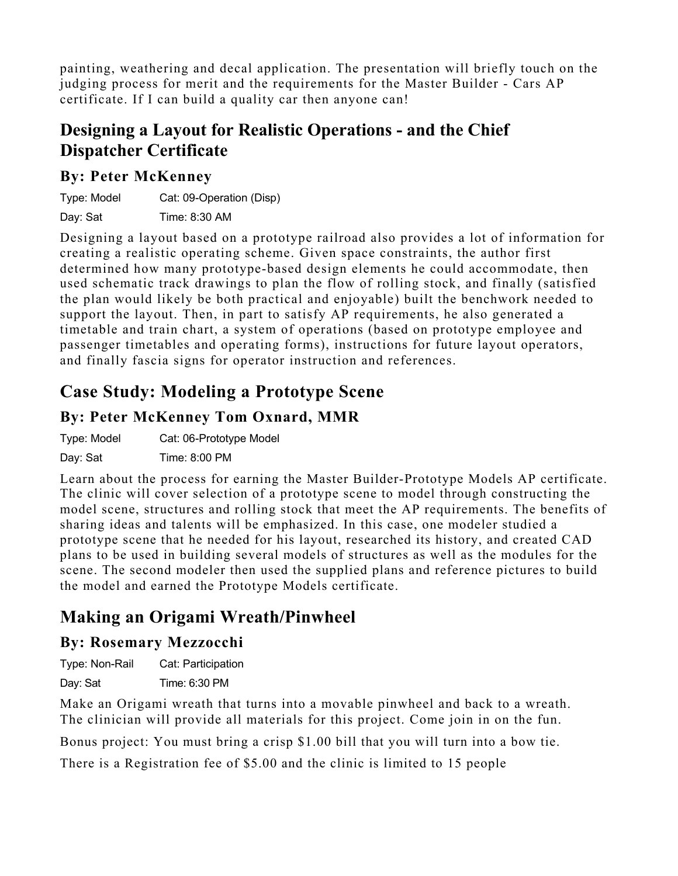painting, weathering and decal application. The presentation will briefly touch on the judging process for merit and the requirements for the Master Builder - Cars AP certificate. If I can build a quality car then anyone can!

### **Designing a Layout for Realistic Operations - and the Chief Dispatcher Certificate**

### **By: Peter McKenney**

| Type: Model | Cat: 09-Operation (Disp) |
|-------------|--------------------------|
| Day: Sat    | Time: 8:30 AM            |

Designing a layout based on a prototype railroad also provides a lot of information for creating a realistic operating scheme. Given space constraints, the author first determined how many prototype-based design elements he could accommodate, then used schematic track drawings to plan the flow of rolling stock, and finally (satisfied the plan would likely be both practical and enjoyable) built the benchwork needed to support the layout. Then, in part to satisfy AP requirements, he also generated a timetable and train chart, a system of operations (based on prototype employee and passenger timetables and operating forms), instructions for future layout operators, and finally fascia signs for operator instruction and references.

# **Case Study: Modeling a Prototype Scene**

### **By: Peter McKenney Tom Oxnard, MMR**

Type: Model Cat: 06-Prototype Model

Day: Sat Time: 8:00 PM

Learn about the process for earning the Master Builder-Prototype Models AP certificate. The clinic will cover selection of a prototype scene to model through constructing the model scene, structures and rolling stock that meet the AP requirements. The benefits of sharing ideas and talents will be emphasized. In this case, one modeler studied a prototype scene that he needed for his layout, researched its history, and created CAD plans to be used in building several models of structures as well as the modules for the scene. The second modeler then used the supplied plans and reference pictures to build the model and earned the Prototype Models certificate.

# **Making an Origami Wreath/Pinwheel**

### **By: Rosemary Mezzocchi**

Type: Non-Rail Cat: Participation Day: Sat Time: 6:30 PM

Make an Origami wreath that turns into a movable pinwheel and back to a wreath. The clinician will provide all materials for this project. Come join in on the fun.

Bonus project: You must bring a crisp \$1.00 bill that you will turn into a bow tie.

There is a Registration fee of \$5.00 and the clinic is limited to 15 people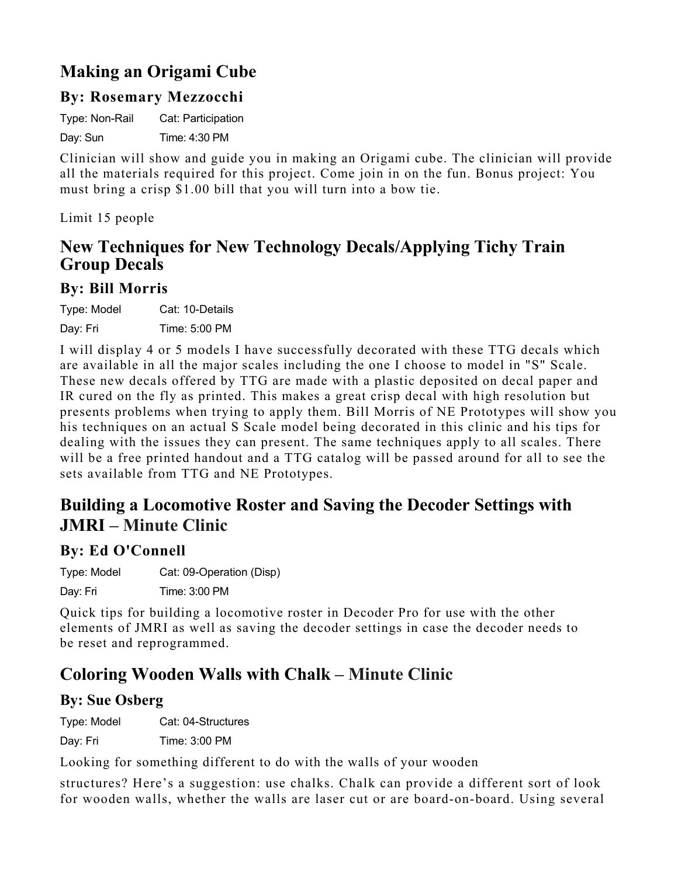# **Making an Origami Cube**

### **By: Rosemary Mezzocchi**

Type: Non-Rail Cat: Participation

Day: Sun Time: 4:30 PM

Clinician will show and guide you in making an Origami cube. The clinician will provide all the materials required for this project. Come join in on the fun. Bonus project: You must bring a crisp \$1.00 bill that you will turn into a bow tie.

Limit 15 people

### **New Techniques for New Technology Decals/Applying Tichy Train Group Decals**

#### **By: Bill Morris**

| Type: Model | Cat: 10-Details |
|-------------|-----------------|
| Day: Fri    | Time: 5:00 PM   |

I will display 4 or 5 models I have successfully decorated with these TTG decals which are available in all the major scales including the one I choose to model in "S" Scale. These new decals offered by TTG are made with a plastic deposited on decal paper and IR cured on the fly as printed. This makes a great crisp decal with high resolution but presents problems when trying to apply them. Bill Morris of NE Prototypes will show you his techniques on an actual S Scale model being decorated in this clinic and his tips for dealing with the issues they can present. The same techniques apply to all scales. There will be a free printed handout and a TTG catalog will be passed around for all to see the sets available from TTG and NE Prototypes.

### **Building a Locomotive Roster and Saving the Decoder Settings with JMRI – Minute Clinic**

#### **By: Ed O'Connell**

Type: Model Cat: 09-Operation (Disp) Day: Fri Time: 3:00 PM

Quick tips for building a locomotive roster in Decoder Pro for use with the other elements of JMRI as well as saving the decoder settings in case the decoder needs to be reset and reprogrammed.

### **Coloring Wooden Walls with Chalk – Minute Clinic**

### **By: Sue Osberg**

Type: Model Cat: 04-Structures

Day: Fri Time: 3:00 PM

Looking for something different to do with the walls of your wooden

structures? Here's a suggestion: use chalks. Chalk can provide a different sort of look for wooden walls, whether the walls are laser cut or are board-on-board. Using several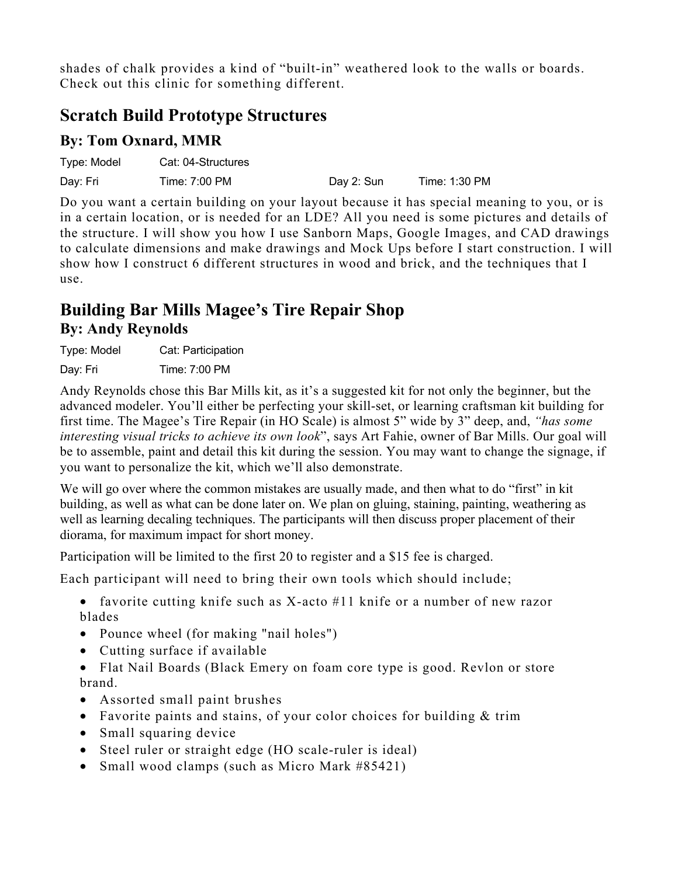shades of chalk provides a kind of "built-in" weathered look to the walls or boards. Check out this clinic for something different.

### **Scratch Build Prototype Structures**

#### **By: Tom Oxnard, MMR**

| Type: Model | Cat: 04-Structures |            |               |
|-------------|--------------------|------------|---------------|
| Day: Fri    | Time: 7:00 PM      | Day 2: Sun | Time: 1:30 PM |

Do you want a certain building on your layout because it has special meaning to you, or is in a certain location, or is needed for an LDE? All you need is some pictures and details of the structure. I will show you how I use Sanborn Maps, Google Images, and CAD drawings to calculate dimensions and make drawings and Mock Ups before I start construction. I will show how I construct 6 different structures in wood and brick, and the techniques that I use.

### **Building Bar Mills Magee's Tire Repair Shop By: Andy Reynolds**

Type: Model Cat: Participation Day: Fri Time: 7:00 PM

Andy Reynolds chose this Bar Mills kit, as it's a suggested kit for not only the beginner, but the advanced modeler. You'll either be perfecting your skill-set, or learning craftsman kit building for first time. The Magee's Tire Repair (in HO Scale) is almost 5" wide by 3" deep, and, *"has some interesting visual tricks to achieve its own look*", says Art Fahie, owner of Bar Mills. Our goal will be to assemble, paint and detail this kit during the session. You may want to change the signage, if you want to personalize the kit, which we'll also demonstrate.

We will go over where the common mistakes are usually made, and then what to do "first" in kit building, as well as what can be done later on. We plan on gluing, staining, painting, weathering as well as learning decaling techniques. The participants will then discuss proper placement of their diorama, for maximum impact for short money.

Participation will be limited to the first 20 to register and a \$15 fee is charged.

Each participant will need to bring their own tools which should include;

• favorite cutting knife such as X-acto #11 knife or a number of new razor blades

- Pounce wheel (for making "nail holes")
- Cutting surface if available
- Flat Nail Boards (Black Emery on foam core type is good. Revlon or store brand.
- Assorted small paint brushes
- Favorite paints and stains, of your color choices for building & trim
- Small squaring device
- Steel ruler or straight edge (HO scale-ruler is ideal)
- Small wood clamps (such as Micro Mark #85421)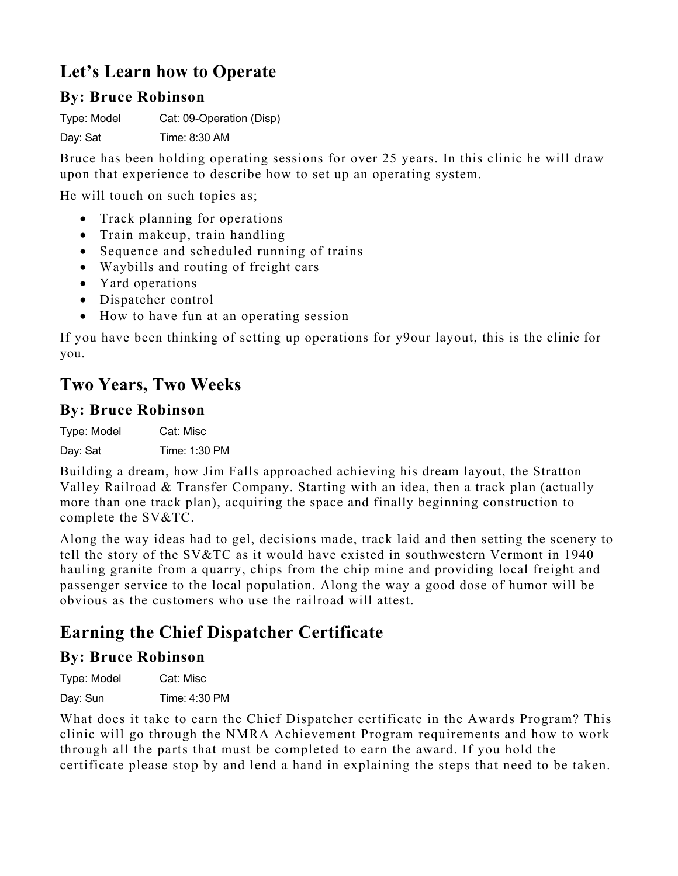# **Let's Learn how to Operate**

#### **By: Bruce Robinson**

Type: Model Cat: 09-Operation (Disp)

Day: Sat Time: 8:30 AM

Bruce has been holding operating sessions for over 25 years. In this clinic he will draw upon that experience to describe how to set up an operating system.

He will touch on such topics as;

- Track planning for operations
- Train makeup, train handling
- Sequence and scheduled running of trains
- Waybills and routing of freight cars
- Yard operations
- Dispatcher control
- How to have fun at an operating session

If you have been thinking of setting up operations for y9our layout, this is the clinic for you.

### **Two Years, Two Weeks**

#### **By: Bruce Robinson**

Type: Model Cat: Misc

Day: Sat Time: 1:30 PM

Building a dream, how Jim Falls approached achieving his dream layout, the Stratton Valley Railroad & Transfer Company. Starting with an idea, then a track plan (actually more than one track plan), acquiring the space and finally beginning construction to complete the SV&TC.

Along the way ideas had to gel, decisions made, track laid and then setting the scenery to tell the story of the SV&TC as it would have existed in southwestern Vermont in 1940 hauling granite from a quarry, chips from the chip mine and providing local freight and passenger service to the local population. Along the way a good dose of humor will be obvious as the customers who use the railroad will attest.

# **Earning the Chief Dispatcher Certificate**

### **By: Bruce Robinson**

Type: Model Cat: Misc

Day: Sun Time: 4:30 PM

What does it take to earn the Chief Dispatcher certificate in the Awards Program? This clinic will go through the NMRA Achievement Program requirements and how to work through all the parts that must be completed to earn the award. If you hold the certificate please stop by and lend a hand in explaining the steps that need to be taken.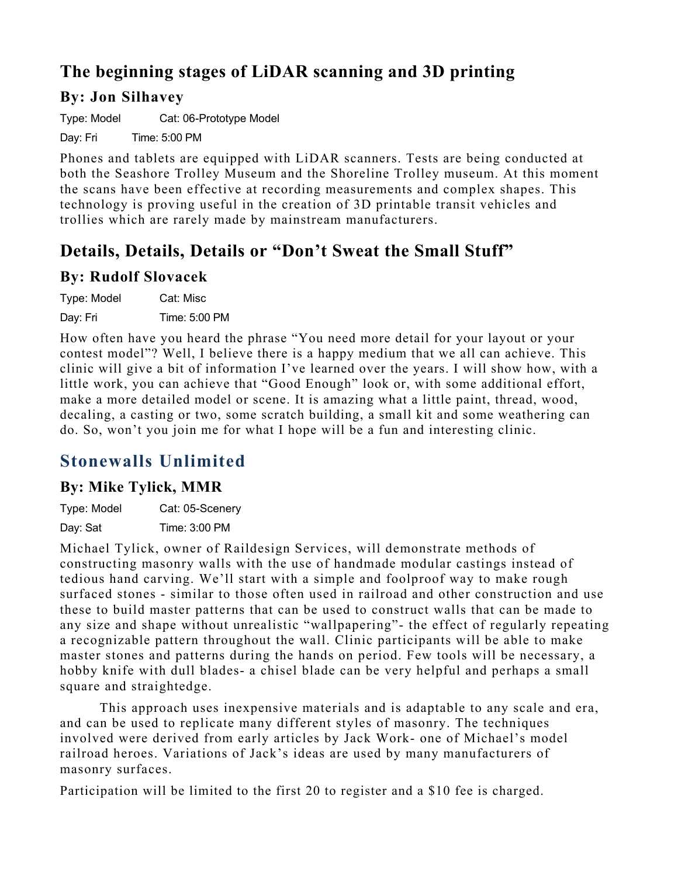# **The beginning stages of LiDAR scanning and 3D printing**

### **By: Jon Silhavey**

Type: Model Cat: 06-Prototype Model

Day: Fri Time: 5:00 PM

Phones and tablets are equipped with LiDAR scanners. Tests are being conducted at both the Seashore Trolley Museum and the Shoreline Trolley museum. At this moment the scans have been effective at recording measurements and complex shapes. This technology is proving useful in the creation of 3D printable transit vehicles and trollies which are rarely made by mainstream manufacturers.

### **Details, Details, Details or "Don't Sweat the Small Stuff"**

#### **By: Rudolf Slovacek**

| Type: Model | Cat: Misc     |
|-------------|---------------|
| Day: Fri    | Time: 5:00 PM |

How often have you heard the phrase "You need more detail for your layout or your contest model"? Well, I believe there is a happy medium that we all can achieve. This clinic will give a bit of information I've learned over the years. I will show how, with a little work, you can achieve that "Good Enough" look or, with some additional effort, make a more detailed model or scene. It is amazing what a little paint, thread, wood, decaling, a casting or two, some scratch building, a small kit and some weathering can do. So, won't you join me for what I hope will be a fun and interesting clinic.

# **Stonewalls Unlimited**

#### **By: Mike Tylick, MMR**

| Type: Model | Cat: 05-Scenery |
|-------------|-----------------|
| Day: Sat    | Time: 3:00 PM   |

Michael Tylick, owner of Raildesign Services, will demonstrate methods of constructing masonry walls with the use of handmade modular castings instead of tedious hand carving. We'll start with a simple and foolproof way to make rough surfaced stones - similar to those often used in railroad and other construction and use these to build master patterns that can be used to construct walls that can be made to any size and shape without unrealistic "wallpapering"- the effect of regularly repeating a recognizable pattern throughout the wall. Clinic participants will be able to make master stones and patterns during the hands on period. Few tools will be necessary, a hobby knife with dull blades- a chisel blade can be very helpful and perhaps a small square and straightedge.

This approach uses inexpensive materials and is adaptable to any scale and era, and can be used to replicate many different styles of masonry. The techniques involved were derived from early articles by Jack Work- one of Michael's model railroad heroes. Variations of Jack's ideas are used by many manufacturers of masonry surfaces.

Participation will be limited to the first 20 to register and a \$10 fee is charged.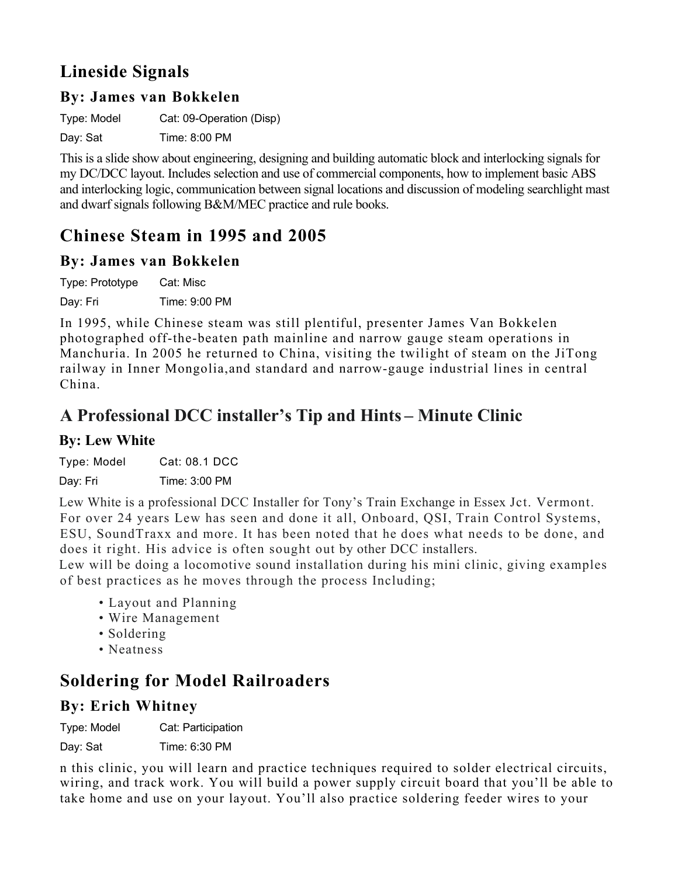# **Lineside Signals**

#### **By: James van Bokkelen**

Type: Model Cat: 09-Operation (Disp)

Day: Sat Time: 8:00 PM

This is a slide show about engineering, designing and building automatic block and interlocking signals for my DC/DCC layout. Includes selection and use of commercial components, how to implement basic ABS and interlocking logic, communication between signal locations and discussion of modeling searchlight mast and dwarf signals following B&M/MEC practice and rule books.

# **Chinese Steam in 1995 and 2005**

### **By: James van Bokkelen**

Type: Prototype Cat: Misc Day: Fri Time: 9:00 PM

In 1995, while Chinese steam was still plentiful, presenter James Van Bokkelen photographed off-the-beaten path mainline and narrow gauge steam operations in Manchuria. In 2005 he returned to China, visiting the twilight of steam on the JiTong railway in Inner Mongolia,and standard and narrow-gauge industrial lines in central China.

### **A Professional DCC installer's Tip and Hints – Minute Clinic**

#### **By: Lew White**

Type: Model Cat: 08.1 DCC

Day: Fri Time: 3:00 PM

Lew White is a professional DCC Installer for Tony's Train Exchange in Essex Jct. Vermont. For over 24 years Lew has seen and done it all, Onboard, QSI, Train Control Systems, ESU, SoundTraxx and more. It has been noted that he does what needs to be done, and does it right. His advice is often sought out by other DCC installers.

Lew will be doing a locomotive sound installation during his mini clinic, giving examples of best practices as he moves through the process Including;

- Layout and Planning
- Wire Management
- Soldering
- Neatness

# **Soldering for Model Railroaders**

### **By: Erich Whitney**

Type: Model Cat: Participation

Day: Sat Time: 6:30 PM

n this clinic, you will learn and practice techniques required to solder electrical circuits, wiring, and track work. You will build a power supply circuit board that you'll be able to take home and use on your layout. You'll also practice soldering feeder wires to your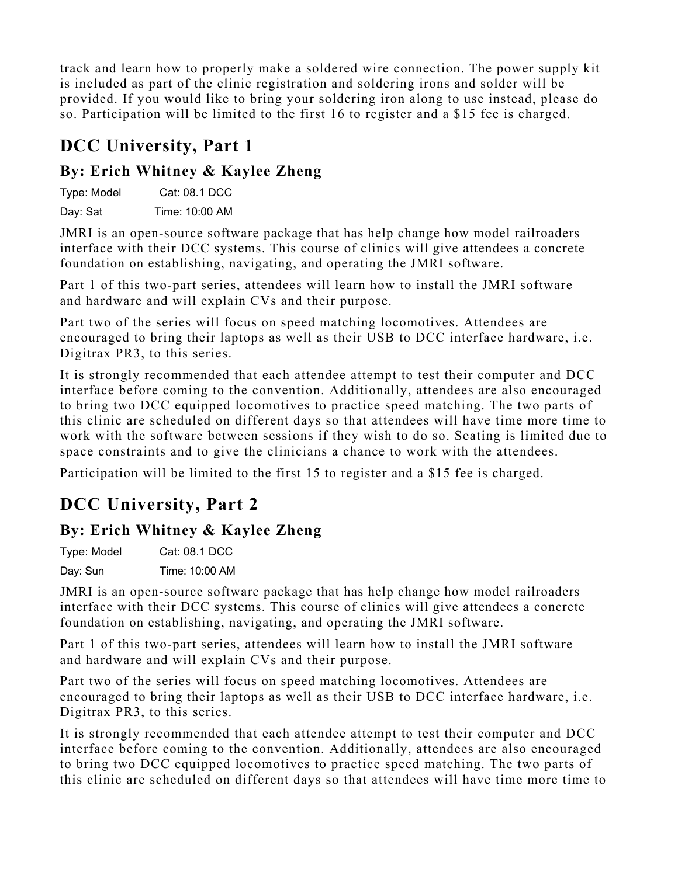track and learn how to properly make a soldered wire connection. The power supply kit is included as part of the clinic registration and soldering irons and solder will be provided. If you would like to bring your soldering iron along to use instead, please do so. Participation will be limited to the first 16 to register and a \$15 fee is charged.

# **DCC University, Part 1**

### **By: Erich Whitney & Kaylee Zheng**

| Type: Model | Cat: 08.1 DCC  |
|-------------|----------------|
| Day: Sat    | Time: 10:00 AM |

JMRI is an open-source software package that has help change how model railroaders interface with their DCC systems. This course of clinics will give attendees a concrete foundation on establishing, navigating, and operating the JMRI software.

Part 1 of this two-part series, attendees will learn how to install the JMRI software and hardware and will explain CVs and their purpose.

Part two of the series will focus on speed matching locomotives. Attendees are encouraged to bring their laptops as well as their USB to DCC interface hardware, i.e. Digitrax PR3, to this series.

It is strongly recommended that each attendee attempt to test their computer and DCC interface before coming to the convention. Additionally, attendees are also encouraged to bring two DCC equipped locomotives to practice speed matching. The two parts of this clinic are scheduled on different days so that attendees will have time more time to work with the software between sessions if they wish to do so. Seating is limited due to space constraints and to give the clinicians a chance to work with the attendees.

Participation will be limited to the first 15 to register and a \$15 fee is charged.

# **DCC University, Part 2**

### **By: Erich Whitney & Kaylee Zheng**

Type: Model Cat: 08.1 DCC Day: Sun Time: 10:00 AM

JMRI is an open-source software package that has help change how model railroaders interface with their DCC systems. This course of clinics will give attendees a concrete foundation on establishing, navigating, and operating the JMRI software.

Part 1 of this two-part series, attendees will learn how to install the JMRI software and hardware and will explain CVs and their purpose.

Part two of the series will focus on speed matching locomotives. Attendees are encouraged to bring their laptops as well as their USB to DCC interface hardware, i.e. Digitrax PR3, to this series.

It is strongly recommended that each attendee attempt to test their computer and DCC interface before coming to the convention. Additionally, attendees are also encouraged to bring two DCC equipped locomotives to practice speed matching. The two parts of this clinic are scheduled on different days so that attendees will have time more time to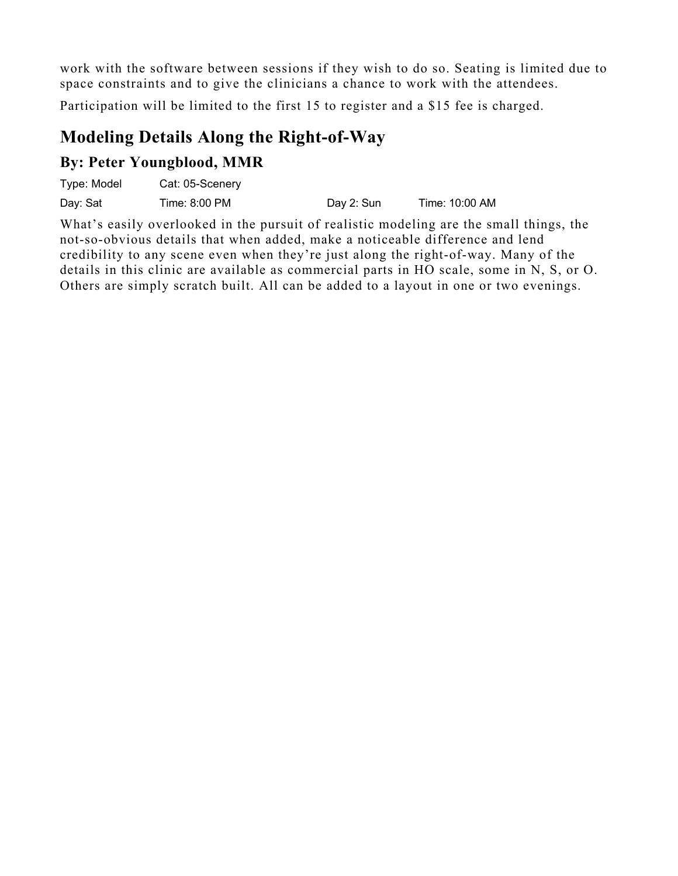work with the software between sessions if they wish to do so. Seating is limited due to space constraints and to give the clinicians a chance to work with the attendees.

Participation will be limited to the first 15 to register and a \$15 fee is charged.

### **Modeling Details Along the Right-of-Way**

### **By: Peter Youngblood, MMR**

| Type: Model | Cat: 05-Scenery |            |                |
|-------------|-----------------|------------|----------------|
| Day: Sat    | Time: 8:00 PM   | Day 2: Sun | Time: 10:00 AM |

What's easily overlooked in the pursuit of realistic modeling are the small things, the not-so-obvious details that when added, make a noticeable difference and lend credibility to any scene even when they're just along the right-of-way. Many of the details in this clinic are available as commercial parts in HO scale, some in N, S, or O. Others are simply scratch built. All can be added to a layout in one or two evenings.